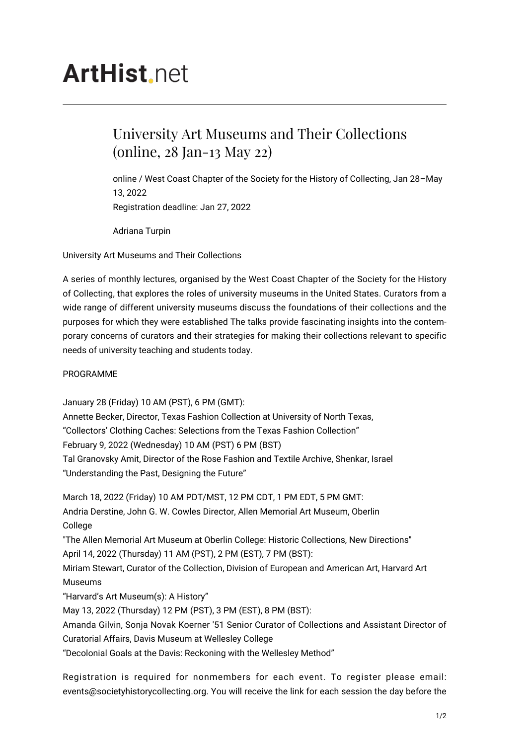## **ArtHist** net

## University Art Museums and Their Collections (online, 28 Jan-13 May 22)

online / West Coast Chapter of the Society for the History of Collecting, Jan 28–May 13, 2022 Registration deadline: Jan 27, 2022

Adriana Turpin

University Art Museums and Their Collections

A series of monthly lectures, organised by the West Coast Chapter of the Society for the History of Collecting, that explores the roles of university museums in the United States. Curators from a wide range of different university museums discuss the foundations of their collections and the purposes for which they were established The talks provide fascinating insights into the contemporary concerns of curators and their strategies for making their collections relevant to specific needs of university teaching and students today.

PROGRAMME

January 28 (Friday) 10 AM (PST), 6 PM (GMT): Annette Becker, Director, Texas Fashion Collection at University of North Texas, "Collectors' Clothing Caches: Selections from the Texas Fashion Collection" February 9, 2022 (Wednesday) 10 AM (PST) 6 PM (BST) Tal Granovsky Amit, Director of the Rose Fashion and Textile Archive, Shenkar, Israel "Understanding the Past, Designing the Future"

March 18, 2022 (Friday) 10 AM PDT/MST, 12 PM CDT, 1 PM EDT, 5 PM GMT: Andria Derstine, John G. W. Cowles Director, Allen Memorial Art Museum, Oberlin College "The Allen Memorial Art Museum at Oberlin College: Historic Collections, New Directions" April 14, 2022 (Thursday) 11 AM (PST), 2 PM (EST), 7 PM (BST): Miriam Stewart, Curator of the Collection, Division of European and American Art, Harvard Art Museums "Harvard's Art Museum(s): A History" May 13, 2022 (Thursday) 12 PM (PST), 3 PM (EST), 8 PM (BST): Amanda Gilvin, Sonja Novak Koerner '51 Senior Curator of Collections and Assistant Director of Curatorial Affairs, Davis Museum at Wellesley College "Decolonial Goals at the Davis: Reckoning with the Wellesley Method"

Registration is required for nonmembers for each event. To register please email: events@societyhistorycollecting.org. You will receive the link for each session the day before the